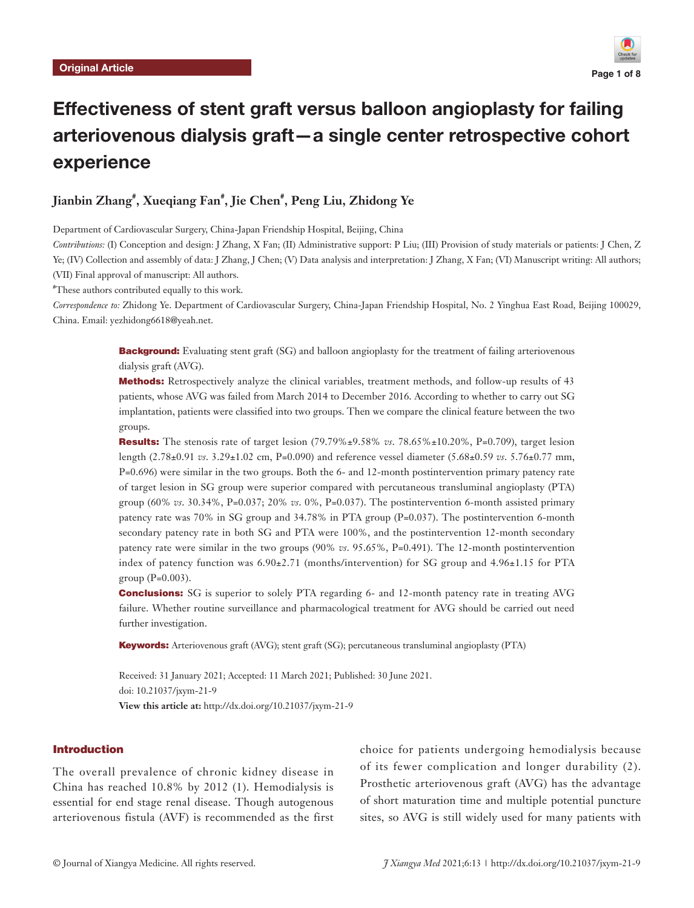

# Effectiveness of stent graft versus balloon angioplasty for failing arteriovenous dialysis graft—a single center retrospective cohort experience

# **Jianbin Zhang# , Xueqiang Fan# , Jie Chen# , Peng Liu, Zhidong Ye**

Department of Cardiovascular Surgery, China-Japan Friendship Hospital, Beijing, China

*Contributions:* (I) Conception and design: J Zhang, X Fan; (II) Administrative support: P Liu; (III) Provision of study materials or patients: J Chen, Z Ye; (IV) Collection and assembly of data: J Zhang, J Chen; (V) Data analysis and interpretation: J Zhang, X Fan; (VI) Manuscript writing: All authors; (VII) Final approval of manuscript: All authors.

# These authors contributed equally to this work.

*Correspondence to:* Zhidong Ye. Department of Cardiovascular Surgery, China-Japan Friendship Hospital, No. 2 Yinghua East Road, Beijing 100029, China. Email: yezhidong6618@yeah.net.

> **Background:** Evaluating stent graft (SG) and balloon angioplasty for the treatment of failing arteriovenous dialysis graft (AVG).

> Methods: Retrospectively analyze the clinical variables, treatment methods, and follow-up results of 43 patients, whose AVG was failed from March 2014 to December 2016. According to whether to carry out SG implantation, patients were classified into two groups. Then we compare the clinical feature between the two groups.

> Results: The stenosis rate of target lesion (79.79%±9.58% *vs*. 78.65%±10.20%, P=0.709), target lesion length (2.78±0.91 *vs*. 3.29±1.02 cm, P=0.090) and reference vessel diameter (5.68±0.59 *vs*. 5.76±0.77 mm, P=0.696) were similar in the two groups. Both the 6- and 12-month postintervention primary patency rate of target lesion in SG group were superior compared with percutaneous transluminal angioplasty (PTA) group (60% *vs*. 30.34%, P=0.037; 20% *vs*. 0%, P=0.037). The postintervention 6-month assisted primary patency rate was 70% in SG group and 34.78% in PTA group (P=0.037). The postintervention 6-month secondary patency rate in both SG and PTA were 100%, and the postintervention 12-month secondary patency rate were similar in the two groups (90% *vs*. 95.65%, P=0.491). The 12-month postintervention index of patency function was  $6.90\pm2.71$  (months/intervention) for SG group and  $4.96\pm1.15$  for PTA group  $(P=0.003)$ .

> Conclusions: SG is superior to solely PTA regarding 6- and 12-month patency rate in treating AVG failure. Whether routine surveillance and pharmacological treatment for AVG should be carried out need further investigation.

Keywords: Arteriovenous graft (AVG); stent graft (SG); percutaneous transluminal angioplasty (PTA)

Received: 31 January 2021; Accepted: 11 March 2021; Published: 30 June 2021. doi: 10.21037/jxym-21-9 **View this article at:** http://dx.doi.org/10.21037/jxym-21-9

# Introduction

The overall prevalence of chronic kidney disease in China has reached 10.8% by 2012 (1). Hemodialysis is essential for end stage renal disease. Though autogenous arteriovenous fistula (AVF) is recommended as the first choice for patients undergoing hemodialysis because of its fewer complication and longer durability (2). Prosthetic arteriovenous graft (AVG) has the advantage of short maturation time and multiple potential puncture sites, so AVG is still widely used for many patients with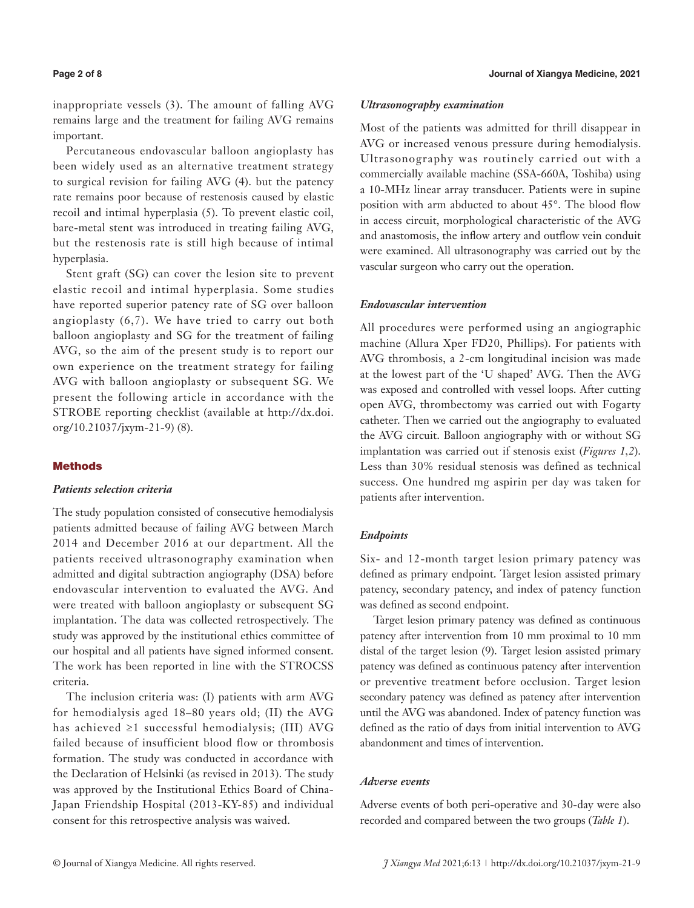inappropriate vessels (3). The amount of falling AVG remains large and the treatment for failing AVG remains important.

Percutaneous endovascular balloon angioplasty has been widely used as an alternative treatment strategy to surgical revision for failing AVG (4). but the patency rate remains poor because of restenosis caused by elastic recoil and intimal hyperplasia (5). To prevent elastic coil, bare-metal stent was introduced in treating failing AVG, but the restenosis rate is still high because of intimal hyperplasia.

Stent graft (SG) can cover the lesion site to prevent elastic recoil and intimal hyperplasia. Some studies have reported superior patency rate of SG over balloon angioplasty (6,7). We have tried to carry out both balloon angioplasty and SG for the treatment of failing AVG, so the aim of the present study is to report our own experience on the treatment strategy for failing AVG with balloon angioplasty or subsequent SG. We present the following article in accordance with the STROBE reporting checklist (available at [http://dx.doi.](http://dx.doi.org/10.21037/jxym-21-9) [org/10.21037/jxym-21-9\)](http://dx.doi.org/10.21037/jxym-21-9) (8).

### **Methods**

### *Patients selection criteria*

The study population consisted of consecutive hemodialysis patients admitted because of failing AVG between March 2014 and December 2016 at our department. All the patients received ultrasonography examination when admitted and digital subtraction angiography (DSA) before endovascular intervention to evaluated the AVG. And were treated with balloon angioplasty or subsequent SG implantation. The data was collected retrospectively. The study was approved by the institutional ethics committee of our hospital and all patients have signed informed consent. The work has been reported in line with the STROCSS criteria.

The inclusion criteria was: (I) patients with arm AVG for hemodialysis aged 18–80 years old; (II) the AVG has achieved ≥1 successful hemodialysis; (III) AVG failed because of insufficient blood flow or thrombosis formation. The study was conducted in accordance with the Declaration of Helsinki (as revised in 2013). The study was approved by the Institutional Ethics Board of China-Japan Friendship Hospital (2013-KY-85) and individual consent for this retrospective analysis was waived.

#### *Ultrasonography examination*

Most of the patients was admitted for thrill disappear in AVG or increased venous pressure during hemodialysis. Ultrasonography was routinely carried out with a commercially available machine (SSA-660A, Toshiba) using a 10-MHz linear array transducer. Patients were in supine position with arm abducted to about 45°. The blood flow in access circuit, morphological characteristic of the AVG and anastomosis, the inflow artery and outflow vein conduit were examined. All ultrasonography was carried out by the vascular surgeon who carry out the operation.

# *Endovascular intervention*

All procedures were performed using an angiographic machine (Allura Xper FD20, Phillips). For patients with AVG thrombosis, a 2-cm longitudinal incision was made at the lowest part of the 'U shaped' AVG. Then the AVG was exposed and controlled with vessel loops. After cutting open AVG, thrombectomy was carried out with Fogarty catheter. Then we carried out the angiography to evaluated the AVG circuit. Balloon angiography with or without SG implantation was carried out if stenosis exist (*Figures 1,2*). Less than 30% residual stenosis was defined as technical success. One hundred mg aspirin per day was taken for patients after intervention.

# *Endpoints*

Six- and 12-month target lesion primary patency was defined as primary endpoint. Target lesion assisted primary patency, secondary patency, and index of patency function was defined as second endpoint.

Target lesion primary patency was defined as continuous patency after intervention from 10 mm proximal to 10 mm distal of the target lesion (9). Target lesion assisted primary patency was defined as continuous patency after intervention or preventive treatment before occlusion. Target lesion secondary patency was defined as patency after intervention until the AVG was abandoned. Index of patency function was defined as the ratio of days from initial intervention to AVG abandonment and times of intervention.

### *Adverse events*

Adverse events of both peri-operative and 30-day were also recorded and compared between the two groups (*Table 1*).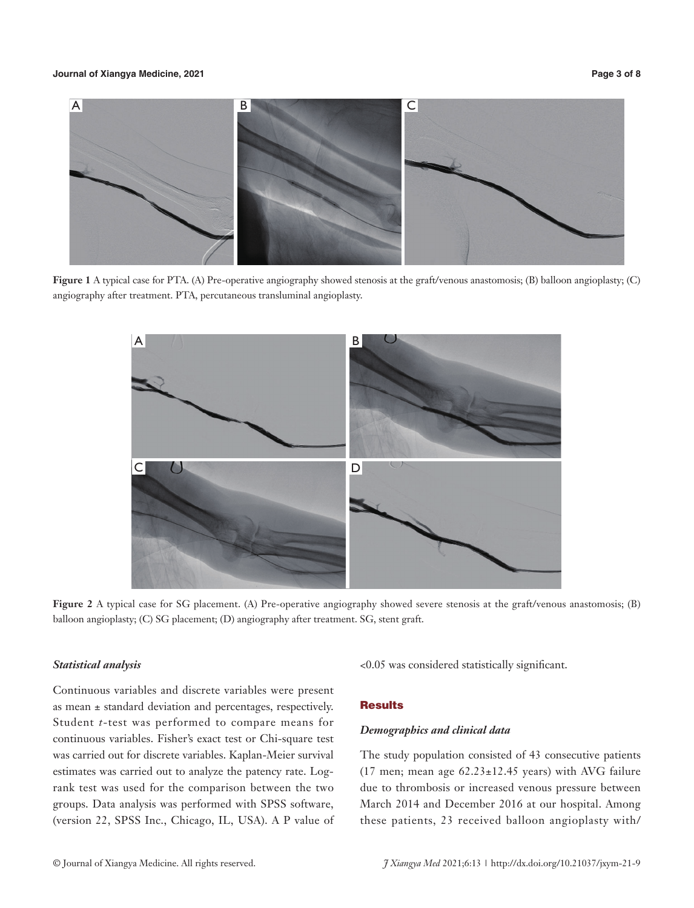# **Journal of Xiangya Medicine, 2021 Page 3 of 8**



**Figure 1** A typical case for PTA. (A) Pre-operative angiography showed stenosis at the graft/venous anastomosis; (B) balloon angioplasty; (C) angiography after treatment. PTA, percutaneous transluminal angioplasty.



**Figure 2** A typical case for SG placement. (A) Pre-operative angiography showed severe stenosis at the graft/venous anastomosis; (B) balloon angioplasty; (C) SG placement; (D) angiography after treatment. SG, stent graft.

# *Statistical analysis*

Continuous variables and discrete variables were present as mean ± standard deviation and percentages, respectively. Student *t*-test was performed to compare means for continuous variables. Fisher's exact test or Chi-square test was carried out for discrete variables. Kaplan-Meier survival estimates was carried out to analyze the patency rate. Logrank test was used for the comparison between the two groups. Data analysis was performed with SPSS software, (version 22, SPSS Inc., Chicago, IL, USA). A P value of <0.05 was considered statistically significant.

# **Results**

#### *Demographics and clinical data*

The study population consisted of 43 consecutive patients (17 men; mean age  $62.23 \pm 12.45$  years) with AVG failure due to thrombosis or increased venous pressure between March 2014 and December 2016 at our hospital. Among these patients, 23 received balloon angioplasty with/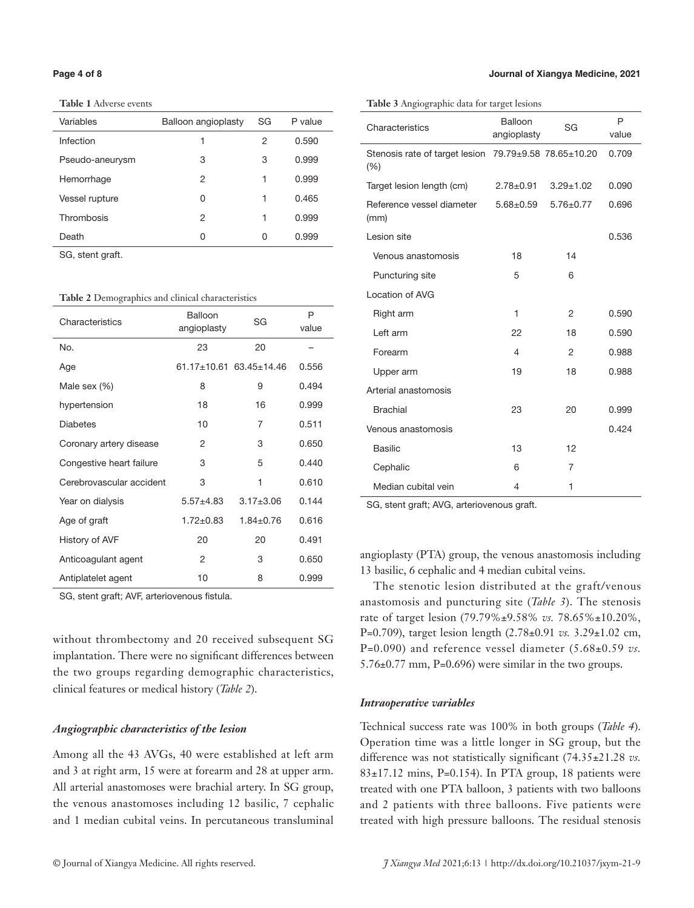**Table 1** Adverse events

| Variables       | Balloon angioplasty | SG | P value |
|-----------------|---------------------|----|---------|
| Infection       | 1                   | 2  | 0.590   |
| Pseudo-aneurysm | 3                   | 3  | 0.999   |
| Hemorrhage      | 2                   | 1  | 0.999   |
| Vessel rupture  | 0                   | 1  | 0.465   |
| Thrombosis      | 2                   | 1  | 0.999   |
| Death           | 0                   | O  | 0.999   |

SG, stent graft.

|  |  |  |  |  | <b>Table 2</b> Demographics and clinical characteristics |  |
|--|--|--|--|--|----------------------------------------------------------|--|
|--|--|--|--|--|----------------------------------------------------------|--|

| Characteristics          | Balloon<br>angioplasty | SG                      | P<br>value |
|--------------------------|------------------------|-------------------------|------------|
| No.                      | 23                     | 20                      |            |
| Age                      |                        | 61.17+10.61 63.45+14.46 | 0.556      |
| Male sex (%)             | 8                      | 9                       | 0.494      |
| hypertension             | 18                     | 16                      | 0.999      |
| <b>Diabetes</b>          | 10                     | 7                       | 0.511      |
| Coronary artery disease  | 2                      | 3                       | 0.650      |
| Congestive heart failure | 3                      | 5                       | 0.440      |
| Cerebrovascular accident | 3                      | 1                       | 0.610      |
| Year on dialysis         | $5.57 + 4.83$          | $3.17 + 3.06$           | 0.144      |
| Age of graft             | $1.72 \pm 0.83$        | $1.84 + 0.76$           | 0.616      |
| History of AVF           | 20                     | 20                      | 0.491      |
| Anticoagulant agent      | 2                      | 3                       | 0.650      |
| Antiplatelet agent       | 10                     | 8                       | 0.999      |

SG, stent graft; AVF, arteriovenous fistula.

without thrombectomy and 20 received subsequent SG implantation. There were no significant differences between the two groups regarding demographic characteristics, clinical features or medical history (*Table 2*).

#### *Angiographic characteristics of the lesion*

Among all the 43 AVGs, 40 were established at left arm and 3 at right arm, 15 were at forearm and 28 at upper arm. All arterial anastomoses were brachial artery. In SG group, the venous anastomoses including 12 basilic, 7 cephalic and 1 median cubital veins. In percutaneous transluminal

**Table 3** Angiographic data for target lesions

| Characteristics                                                           | Balloon<br>angioplasty | SG              | P<br>value |
|---------------------------------------------------------------------------|------------------------|-----------------|------------|
| Stenosis rate of target lesion $79.79 \pm 9.58$ $78.65 \pm 10.20$<br>(% ) |                        |                 | 0.709      |
| Target lesion length (cm)                                                 | $2.78 \pm 0.91$        | $3.29 \pm 1.02$ | 0.090      |
| Reference vessel diameter<br>(mm)                                         | $5.68 \pm 0.59$        | $5.76 \pm 0.77$ | 0.696      |
| Lesion site                                                               |                        |                 | 0.536      |
| Venous anastomosis                                                        | 18                     | 14              |            |
| Puncturing site                                                           | 5                      | 6               |            |
| Location of AVG                                                           |                        |                 |            |
| Right arm                                                                 | 1                      | 2               | 0.590      |
| Left arm                                                                  | 22                     | 18              | 0.590      |
| Forearm                                                                   | 4                      | 2               | 0.988      |
| Upper arm                                                                 | 19                     | 18              | 0.988      |
| Arterial anastomosis                                                      |                        |                 |            |
| <b>Brachial</b>                                                           | 23                     | 20              | 0.999      |
| Venous anastomosis                                                        |                        |                 | 0.424      |
| Basilic                                                                   | 13                     | 12              |            |
| Cephalic                                                                  | 6                      | 7               |            |
| Median cubital vein                                                       | 4                      | 1               |            |

SG, stent graft; AVG, arteriovenous graft.

angioplasty (PTA) group, the venous anastomosis including 13 basilic, 6 cephalic and 4 median cubital veins.

The stenotic lesion distributed at the graft/venous anastomosis and puncturing site (*Table 3*). The stenosis rate of target lesion (79.79%±9.58% *vs.* 78.65%±10.20%, P=0.709), target lesion length (2.78±0.91 *vs.* 3.29±1.02 cm, P=0.090) and reference vessel diameter (5.68±0.59 *vs.* 5.76±0.77 mm, P=0.696) were similar in the two groups.

#### *Intraoperative variables*

Technical success rate was 100% in both groups (*Table 4*). Operation time was a little longer in SG group, but the difference was not statistically significant (74.35±21.28 *vs.* 83±17.12 mins, P=0.154). In PTA group, 18 patients were treated with one PTA balloon, 3 patients with two balloons and 2 patients with three balloons. Five patients were treated with high pressure balloons. The residual stenosis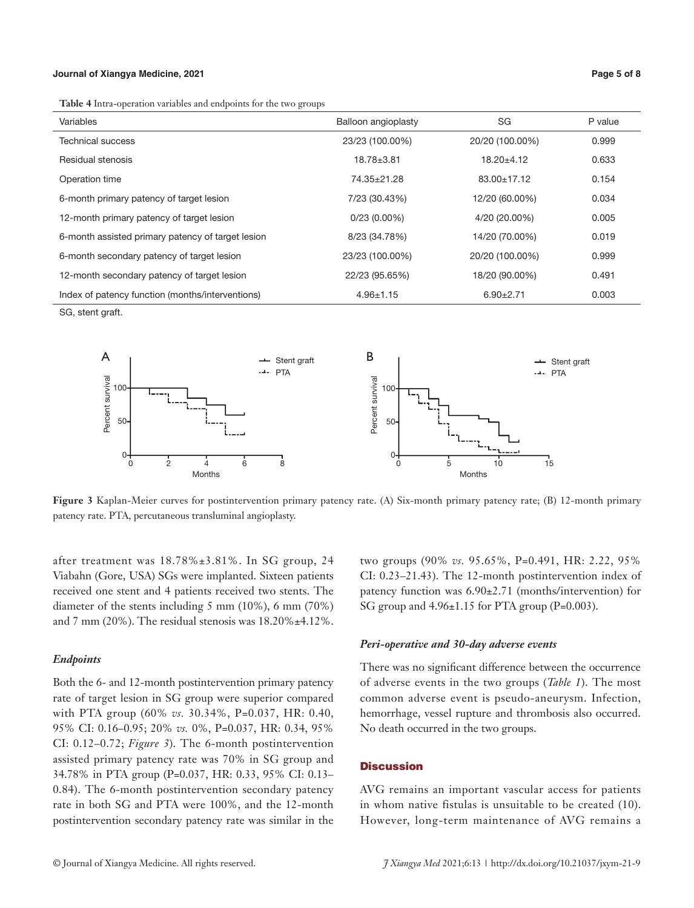#### **Journal of Xiangya Medicine, 2021 Page 5 of 8**

**Table 4** Intra-operation variables and endpoints for the two groups

| Variables                                         | Balloon angioplasty | SG                | P value |
|---------------------------------------------------|---------------------|-------------------|---------|
| Technical success                                 | 23/23 (100.00%)     | 20/20 (100.00%)   | 0.999   |
| Residual stenosis                                 | $18.78 + 3.81$      | $18.20 \pm 4.12$  | 0.633   |
| Operation time                                    | 74.35±21.28         | $83.00 \pm 17.12$ | 0.154   |
| 6-month primary patency of target lesion          | 7/23 (30.43%)       | 12/20 (60.00%)    | 0.034   |
| 12-month primary patency of target lesion         | $0/23(0.00\%)$      | 4/20 (20.00%)     | 0.005   |
| 6-month assisted primary patency of target lesion | 8/23 (34.78%)       | 14/20 (70.00%)    | 0.019   |
| 6-month secondary patency of target lesion        | 23/23 (100.00%)     | 20/20 (100.00%)   | 0.999   |
| 12-month secondary patency of target lesion       | 22/23 (95.65%)      | 18/20 (90.00%)    | 0.491   |
| Index of patency function (months/interventions)  | $4.96 \pm 1.15$     | $6.90 \pm 2.71$   | 0.003   |

SG, stent graft.



**Figure 3** Kaplan-Meier curves for postintervention primary patency rate. (A) Six-month primary patency rate; (B) 12-month primary patency rate. PTA, percutaneous transluminal angioplasty.

after treatment was 18.78%±3.81%. In SG group, 24 Viabahn (Gore, USA) SGs were implanted. Sixteen patients received one stent and 4 patients received two stents. The diameter of the stents including 5 mm (10%), 6 mm (70%) and 7 mm (20%). The residual stenosis was 18.20%±4.12%.

### *Endpoints*

Both the 6- and 12-month postintervention primary patency rate of target lesion in SG group were superior compared with PTA group (60% *vs.* 30.34%, P=0.037, HR: 0.40, 95% CI: 0.16–0.95; 20% *vs.* 0%, P=0.037, HR: 0.34, 95% CI: 0.12–0.72; *Figure 3*). The 6-month postintervention assisted primary patency rate was 70% in SG group and 34.78% in PTA group (P=0.037, HR: 0.33, 95% CI: 0.13– 0.84). The 6-month postintervention secondary patency rate in both SG and PTA were 100%, and the 12-month postintervention secondary patency rate was similar in the

two groups (90% *vs.* 95.65%, P=0.491, HR: 2.22, 95% CI: 0.23–21.43). The 12-month postintervention index of patency function was 6.90±2.71 (months/intervention) for SG group and 4.96±1.15 for PTA group (P=0.003).

#### *Peri-operative and 30-day adverse events*

There was no significant difference between the occurrence of adverse events in the two groups (*Table 1*). The most common adverse event is pseudo-aneurysm. Infection, hemorrhage, vessel rupture and thrombosis also occurred. No death occurred in the two groups.

# **Discussion**

AVG remains an important vascular access for patients in whom native fistulas is unsuitable to be created (10). However, long-term maintenance of AVG remains a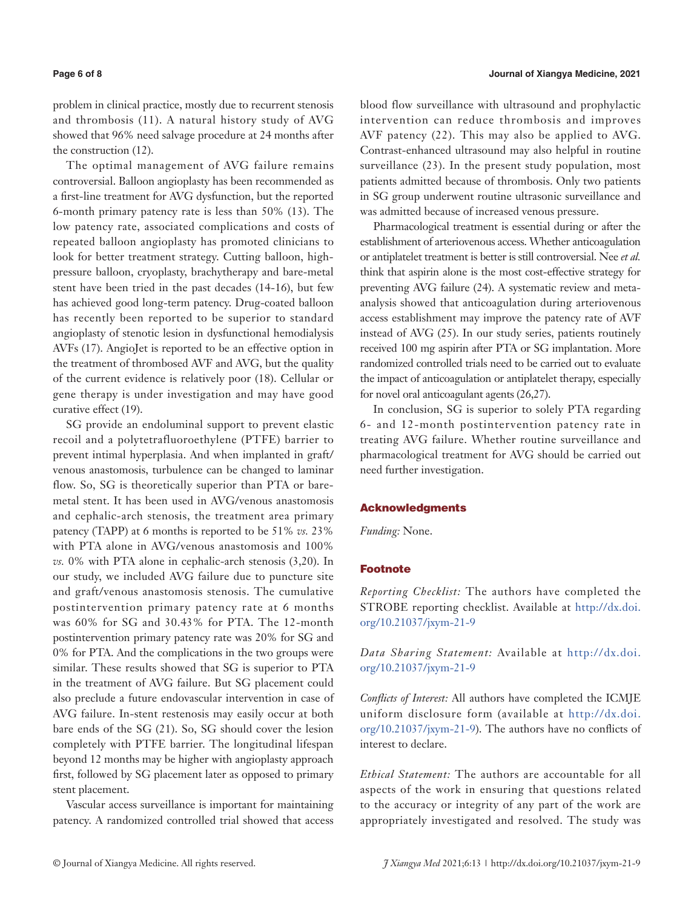problem in clinical practice, mostly due to recurrent stenosis and thrombosis (11). A natural history study of AVG showed that 96% need salvage procedure at 24 months after the construction (12).

The optimal management of AVG failure remains controversial. Balloon angioplasty has been recommended as a first-line treatment for AVG dysfunction, but the reported 6-month primary patency rate is less than 50% (13). The low patency rate, associated complications and costs of repeated balloon angioplasty has promoted clinicians to look for better treatment strategy. Cutting balloon, highpressure balloon, cryoplasty, brachytherapy and bare-metal stent have been tried in the past decades (14-16), but few has achieved good long-term patency. Drug-coated balloon has recently been reported to be superior to standard angioplasty of stenotic lesion in dysfunctional hemodialysis AVFs (17). AngioJet is reported to be an effective option in the treatment of thrombosed AVF and AVG, but the quality of the current evidence is relatively poor (18). Cellular or gene therapy is under investigation and may have good curative effect (19).

SG provide an endoluminal support to prevent elastic recoil and a polytetrafluoroethylene (PTFE) barrier to prevent intimal hyperplasia. And when implanted in graft/ venous anastomosis, turbulence can be changed to laminar flow. So, SG is theoretically superior than PTA or baremetal stent. It has been used in AVG/venous anastomosis and cephalic-arch stenosis, the treatment area primary patency (TAPP) at 6 months is reported to be 51% *vs.* 23% with PTA alone in AVG/venous anastomosis and 100% *vs.* 0% with PTA alone in cephalic-arch stenosis (3,20). In our study, we included AVG failure due to puncture site and graft/venous anastomosis stenosis. The cumulative postintervention primary patency rate at 6 months was 60% for SG and 30.43% for PTA. The 12-month postintervention primary patency rate was 20% for SG and 0% for PTA. And the complications in the two groups were similar. These results showed that SG is superior to PTA in the treatment of AVG failure. But SG placement could also preclude a future endovascular intervention in case of AVG failure. In-stent restenosis may easily occur at both bare ends of the SG (21). So, SG should cover the lesion completely with PTFE barrier. The longitudinal lifespan beyond 12 months may be higher with angioplasty approach first, followed by SG placement later as opposed to primary stent placement.

Vascular access surveillance is important for maintaining patency. A randomized controlled trial showed that access

blood flow surveillance with ultrasound and prophylactic intervention can reduce thrombosis and improves AVF patency (22). This may also be applied to AVG. Contrast-enhanced ultrasound may also helpful in routine surveillance (23). In the present study population, most patients admitted because of thrombosis. Only two patients in SG group underwent routine ultrasonic surveillance and was admitted because of increased venous pressure.

Pharmacological treatment is essential during or after the establishment of arteriovenous access. Whether anticoagulation or antiplatelet treatment is better is still controversial. Nee *et al.* think that aspirin alone is the most cost-effective strategy for preventing AVG failure (24). A systematic review and metaanalysis showed that anticoagulation during arteriovenous access establishment may improve the patency rate of AVF instead of AVG (25). In our study series, patients routinely received 100 mg aspirin after PTA or SG implantation. More randomized controlled trials need to be carried out to evaluate the impact of anticoagulation or antiplatelet therapy, especially for novel oral anticoagulant agents (26,27).

In conclusion, SG is superior to solely PTA regarding 6- and 12-month postintervention patency rate in treating AVG failure. Whether routine surveillance and pharmacological treatment for AVG should be carried out need further investigation.

#### Acknowledgments

*Funding:* None.

# Footnote

*Reporting Checklist:* The authors have completed the STROBE reporting checklist. Available at [http://dx.doi.](http://dx.doi.org/10.21037/jxym-21-9) [org/10.21037/jxym-21-9](http://dx.doi.org/10.21037/jxym-21-9)

*Data Sharing Statement:* Available at [http://dx.doi.](http://dx.doi.org/10.21037/jxym-21-9) [org/10.21037/jxym-21-9](http://dx.doi.org/10.21037/jxym-21-9)

*Conflicts of Interest:* All authors have completed the ICMJE uniform disclosure form (available at [http://dx.doi.](http://dx.doi.org/10.21037/jxym-21-9) [org/10.21037/jxym-21-9](http://dx.doi.org/10.21037/jxym-21-9)). The authors have no conflicts of interest to declare.

*Ethical Statement:* The authors are accountable for all aspects of the work in ensuring that questions related to the accuracy or integrity of any part of the work are appropriately investigated and resolved. The study was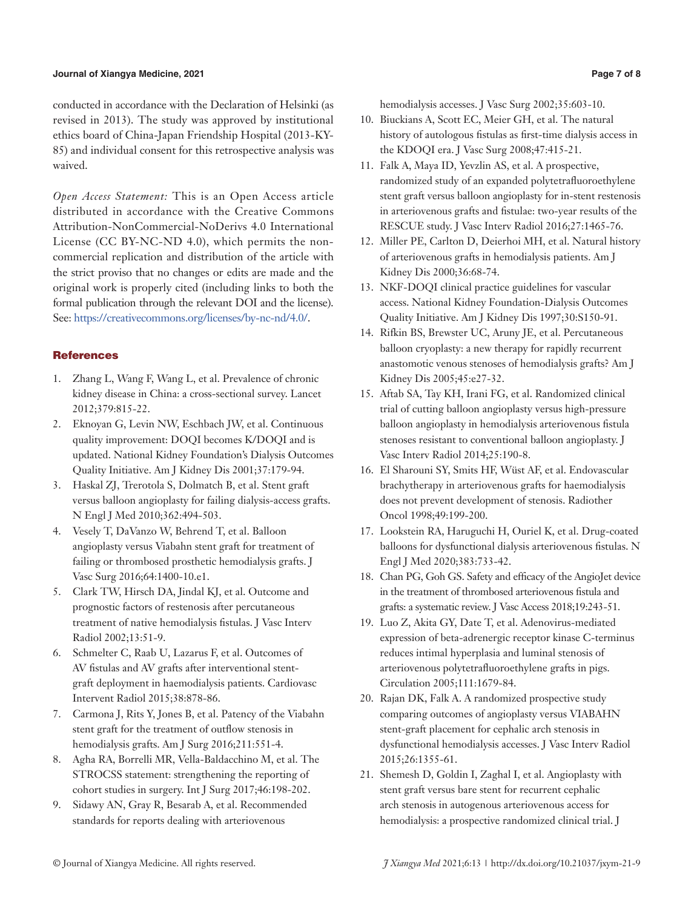### **Journal of Xiangya Medicine, 2021 Page 7 of 8**

conducted in accordance with the Declaration of Helsinki (as revised in 2013). The study was approved by institutional ethics board of China-Japan Friendship Hospital (2013-KY-85) and individual consent for this retrospective analysis was waived.

*Open Access Statement:* This is an Open Access article distributed in accordance with the Creative Commons Attribution-NonCommercial-NoDerivs 4.0 International License (CC BY-NC-ND 4.0), which permits the noncommercial replication and distribution of the article with the strict proviso that no changes or edits are made and the original work is properly cited (including links to both the formal publication through the relevant DOI and the license). See: [https://creativecommons.org/licenses/by-nc-nd/4.0/.](https://creativecommons.org/licenses/by-nc-nd/4.0/)

### **References**

- 1. Zhang L, Wang F, Wang L, et al. Prevalence of chronic kidney disease in China: a cross-sectional survey. Lancet 2012;379:815-22.
- 2. Eknoyan G, Levin NW, Eschbach JW, et al. Continuous quality improvement: DOQI becomes K/DOQI and is updated. National Kidney Foundation's Dialysis Outcomes Quality Initiative. Am J Kidney Dis 2001;37:179-94.
- 3. Haskal ZJ, Trerotola S, Dolmatch B, et al. Stent graft versus balloon angioplasty for failing dialysis-access grafts. N Engl J Med 2010;362:494-503.
- 4. Vesely T, DaVanzo W, Behrend T, et al. Balloon angioplasty versus Viabahn stent graft for treatment of failing or thrombosed prosthetic hemodialysis grafts. J Vasc Surg 2016;64:1400-10.e1.
- 5. Clark TW, Hirsch DA, Jindal KJ, et al. Outcome and prognostic factors of restenosis after percutaneous treatment of native hemodialysis fistulas. J Vasc Interv Radiol 2002;13:51-9.
- 6. Schmelter C, Raab U, Lazarus F, et al. Outcomes of AV fistulas and AV grafts after interventional stentgraft deployment in haemodialysis patients. Cardiovasc Intervent Radiol 2015;38:878-86.
- 7. Carmona J, Rits Y, Jones B, et al. Patency of the Viabahn stent graft for the treatment of outflow stenosis in hemodialysis grafts. Am J Surg 2016;211:551-4.
- 8. Agha RA, Borrelli MR, Vella-Baldacchino M, et al. The STROCSS statement: strengthening the reporting of cohort studies in surgery. Int J Surg 2017;46:198-202.
- 9. Sidawy AN, Gray R, Besarab A, et al. Recommended standards for reports dealing with arteriovenous

hemodialysis accesses. J Vasc Surg 2002;35:603-10.

- 10. Biuckians A, Scott EC, Meier GH, et al. The natural history of autologous fistulas as first-time dialysis access in the KDOQI era. J Vasc Surg 2008;47:415-21.
- 11. Falk A, Maya ID, Yevzlin AS, et al. A prospective, randomized study of an expanded polytetrafluoroethylene stent graft versus balloon angioplasty for in-stent restenosis in arteriovenous grafts and fistulae: two-year results of the RESCUE study. J Vasc Interv Radiol 2016;27:1465-76.
- 12. Miller PE, Carlton D, Deierhoi MH, et al. Natural history of arteriovenous grafts in hemodialysis patients. Am J Kidney Dis 2000;36:68-74.
- 13. NKF-DOQI clinical practice guidelines for vascular access. National Kidney Foundation-Dialysis Outcomes Quality Initiative. Am J Kidney Dis 1997;30:S150-91.
- 14. Rifkin BS, Brewster UC, Aruny JE, et al. Percutaneous balloon cryoplasty: a new therapy for rapidly recurrent anastomotic venous stenoses of hemodialysis grafts? Am J Kidney Dis 2005;45:e27-32.
- 15. Aftab SA, Tay KH, Irani FG, et al. Randomized clinical trial of cutting balloon angioplasty versus high-pressure balloon angioplasty in hemodialysis arteriovenous fistula stenoses resistant to conventional balloon angioplasty. J Vasc Interv Radiol 2014;25:190-8.
- 16. El Sharouni SY, Smits HF, Wüst AF, et al. Endovascular brachytherapy in arteriovenous grafts for haemodialysis does not prevent development of stenosis. Radiother Oncol 1998;49:199-200.
- 17. Lookstein RA, Haruguchi H, Ouriel K, et al. Drug-coated balloons for dysfunctional dialysis arteriovenous fistulas. N Engl J Med 2020;383:733-42.
- 18. Chan PG, Goh GS. Safety and efficacy of the AngioJet device in the treatment of thrombosed arteriovenous fistula and grafts: a systematic review. J Vasc Access 2018;19:243-51.
- 19. Luo Z, Akita GY, Date T, et al. Adenovirus-mediated expression of beta-adrenergic receptor kinase C-terminus reduces intimal hyperplasia and luminal stenosis of arteriovenous polytetrafluoroethylene grafts in pigs. Circulation 2005;111:1679-84.
- 20. Rajan DK, Falk A. A randomized prospective study comparing outcomes of angioplasty versus VIABAHN stent-graft placement for cephalic arch stenosis in dysfunctional hemodialysis accesses. J Vasc Interv Radiol 2015;26:1355-61.
- 21. Shemesh D, Goldin I, Zaghal I, et al. Angioplasty with stent graft versus bare stent for recurrent cephalic arch stenosis in autogenous arteriovenous access for hemodialysis: a prospective randomized clinical trial. J